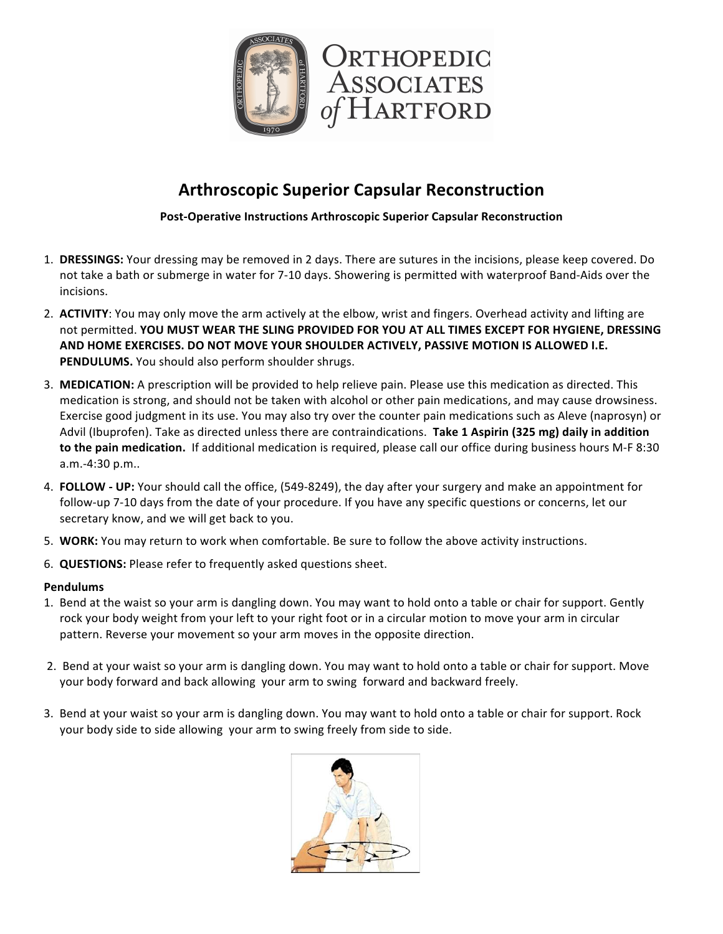

## **Arthroscopic Superior Capsular Reconstruction**

**Post-Operative Instructions Arthroscopic Superior Capsular Reconstruction** 

- 1. DRESSINGS: Your dressing may be removed in 2 days. There are sutures in the incisions, please keep covered. Do not take a bath or submerge in water for 7-10 days. Showering is permitted with waterproof Band-Aids over the incisions.
- 2. **ACTIVITY**: You may only move the arm actively at the elbow, wrist and fingers. Overhead activity and lifting are not permitted. YOU MUST WEAR THE SLING PROVIDED FOR YOU AT ALL TIMES EXCEPT FOR HYGIENE, DRESSING AND HOME EXERCISES. DO NOT MOVE YOUR SHOULDER ACTIVELY, PASSIVE MOTION IS ALLOWED I.E. **PENDULUMS.** You should also perform shoulder shrugs.
- 3. **MEDICATION:** A prescription will be provided to help relieve pain. Please use this medication as directed. This medication is strong, and should not be taken with alcohol or other pain medications, and may cause drowsiness. Exercise good judgment in its use. You may also try over the counter pain medications such as Aleve (naprosyn) or Advil (Ibuprofen). Take as directed unless there are contraindications. Take 1 Aspirin (325 mg) daily in addition to the pain medication. If additional medication is required, please call our office during business hours M-F 8:30 a.m.-4:30 p.m..
- 4. **FOLLOW** UP: Your should call the office, (549-8249), the day after your surgery and make an appointment for follow-up 7-10 days from the date of your procedure. If you have any specific questions or concerns, let our secretary know, and we will get back to you.
- 5. **WORK:** You may return to work when comfortable. Be sure to follow the above activity instructions.
- 6. **QUESTIONS:** Please refer to frequently asked questions sheet.

## **Pendulums**

- 1. Bend at the waist so your arm is dangling down. You may want to hold onto a table or chair for support. Gently rock your body weight from your left to your right foot or in a circular motion to move your arm in circular pattern. Reverse your movement so your arm moves in the opposite direction.
- 2. Bend at your waist so your arm is dangling down. You may want to hold onto a table or chair for support. Move your body forward and back allowing your arm to swing forward and backward freely.
- 3. Bend at your waist so your arm is dangling down. You may want to hold onto a table or chair for support. Rock your body side to side allowing your arm to swing freely from side to side.